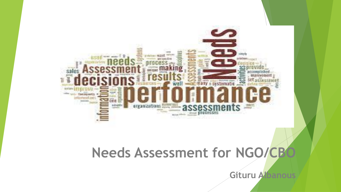

## **Needs Assessment for NGO/CBC**

**Gituru Albanous**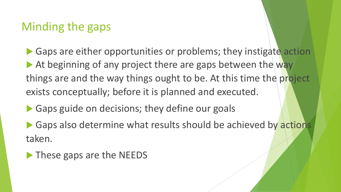## Minding the gaps

▶ Gaps are either opportunities or problems; they instigate action At beginning of any project there are gaps between the way things are and the way things ought to be. At this time the project exists conceptually; before it is planned and executed.

Gaps guide on decisions; they define our goals

▶ Gaps also determine what results should be achieved by actions taken.

**These gaps are the NEEDS**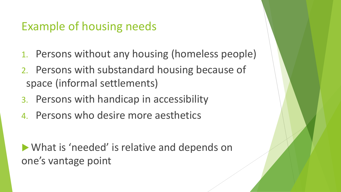## Example of housing needs

- 1. Persons without any housing (homeless people)
- 2. Persons with substandard housing because of space (informal settlements)
- 3. Persons with handicap in accessibility
- 4. Persons who desire more aesthetics

What is 'needed' is relative and depends on one's vantage point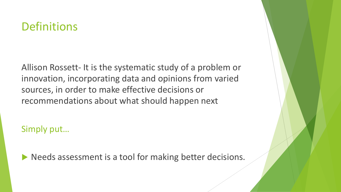## **Definitions**

Allison Rossett- It is the systematic study of a problem or innovation, incorporating data and opinions from varied sources, in order to make effective decisions or recommendations about what should happen next

Simply put…

Needs assessment is a tool for making better decisions.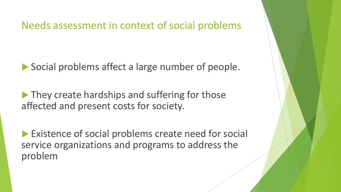Needs assessment in context of social problems

Social problems affect a large number of people.

▶ They create hardships and suffering for those affected and present costs for society.

**Existence of social problems create need for social** service organizations and programs to address the problem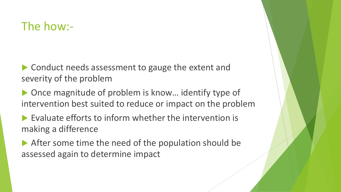### The how:-

▶ Conduct needs assessment to gauge the extent and severity of the problem

 Once magnitude of problem is know… identify type of intervention best suited to reduce or impact on the problem

 $\blacktriangleright$  Evaluate efforts to inform whether the intervention is making a difference

After some time the need of the population should be assessed again to determine impact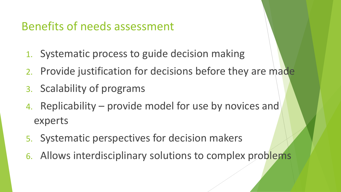## Benefits of needs assessment

- 1. Systematic process to guide decision making
- 2. Provide justification for decisions before they are made
- 3. Scalability of programs
- 4. Replicability provide model for use by novices and experts
- 5. Systematic perspectives for decision makers
- 6. Allows interdisciplinary solutions to complex problems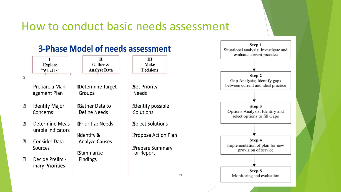### How to conduct basic needs assessment

Step 1

Situational analysis; Investigate and

#### **3-Phase Model of needs assessment**

|                |                                             | П                                                       | Ш                                                     | evaluate current practice                                                   |
|----------------|---------------------------------------------|---------------------------------------------------------|-------------------------------------------------------|-----------------------------------------------------------------------------|
|                | <b>Explore</b><br>"What Is"                 | Gather &<br><b>Analyze Data</b>                         | <b>Make</b><br><b>Decisions</b>                       |                                                                             |
| $\sqrt{2}$     | Prepare a Man-                              | <b>Determine Target</b>                                 | <b>Bet Priority</b>                                   | Step 2<br>Gap Analysis; Identify gaps<br>between current and ideal practice |
|                | agement Plan                                | Groups                                                  | Needs                                                 |                                                                             |
| $\overline{?}$ | <b>Identify Major</b><br>Concerns           | Gather Data to<br>Define Needs                          | dentify possible<br>Solutions                         | Step 3<br>Options Analysis; Identify and<br>select options to fill Gaps     |
| $\boxed{2}$    | <b>Determine Meas-</b><br>urable Indicators | <b>Prioritize Needs</b><br>dentify &                    | <b>Belect Solutions</b><br><b>Propose Action Plan</b> |                                                                             |
| $\overline{?}$ | <b>Consider Data</b><br>Sources             | <b>Analyze Causes</b><br><b><i><u>Bummarize</u></i></b> | <b>P</b> repare Summary<br>or Report                  | Step 4<br>Implementation of plan for new<br>provision of service            |
| $\boxed{?}$    | Decide Prelimi-<br>inary Priorities         | <b>Findings</b>                                         |                                                       |                                                                             |
|                |                                             |                                                         | 21                                                    | Step 5<br>Monitoring and evaluation                                         |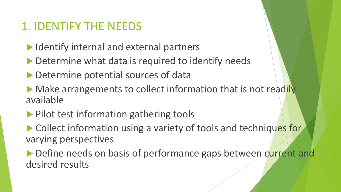## 1. IDENTIFY THE NEEDS

- Internal and external partners
- Determine what data is required to identify needs
- Determine potential sources of data
- Make arrangements to collect information that is not readily available
- **Pilot test information gathering tools**
- ▶ Collect information using a variety of tools and techniques for varying perspectives
- Define needs on basis of performance gaps between current and desired results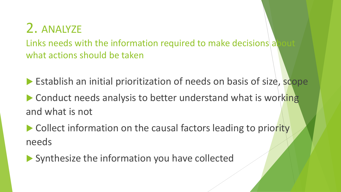## 2. ANALYZE

Links needs with the information required to make decisions at what actions should be taken

Establish an initial prioritization of needs on basis of size, scope

▶ Conduct needs analysis to better understand what is working and what is not

▶ Collect information on the causal factors leading to priority needs

Synthesize the information you have collected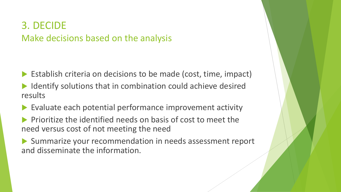### 3. DECIDE Make decisions based on the analysis

- Establish criteria on decisions to be made (cost, time, impact)
- Identify solutions that in combination could achieve desired results
- Evaluate each potential performance improvement activity
- Prioritize the identified needs on basis of cost to meet the need versus cost of not meeting the need
- Summarize your recommendation in needs assessment report and disseminate the information.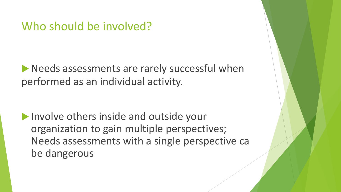### Who should be involved?

**Needs assessments are rarely successful when** performed as an individual activity.

I Involve others inside and outside your organization to gain multiple perspectives; Needs assessments with a single perspective ca be dangerous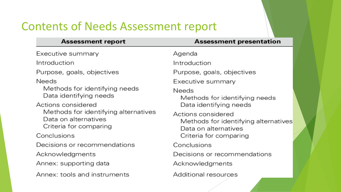## Contents of Needs Assessment report

#### **Assessment report**

#### **Assessment presentation**

Executive summary

Introduction

Purpose, goals, objectives

**Needs** 

Methods for identifying needs Data identifying needs

Actions considered Methods for identifying alternatives Data on alternatives Criteria for comparing

Conclusions

Decisions or recommendations

Acknowledgments

Annex: supporting data

Annex: tools and instruments

Agenda

Introduction

Purpose, goals, objectives

Executive summary

**Needs** 

Methods for identifying needs Data identifying needs

Actions considered Methods for identifying alternatives Data on alternatives Criteria for comparing

Conclusions

Decisions or recommendations

Acknowledgments

Additional resources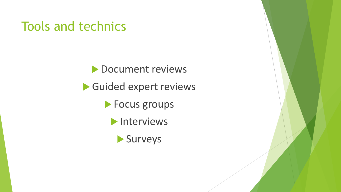## Tools and technics

**Document reviews** Guided expert reviews **Focus groups Interviews** Surveys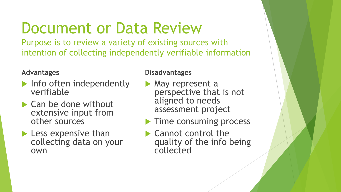## Document or Data Review

Purpose is to review a variety of existing sources with intention of collecting independently verifiable information

#### **Advantages**

- $\blacktriangleright$  Info often independently verifiable
- ▶ Can be done without extensive input from other sources
- **Less expensive than** collecting data on your own

- **May represent a** perspective that is not aligned to needs assessment project
- **Time consuming process**
- ▶ Cannot control the quality of the info being collected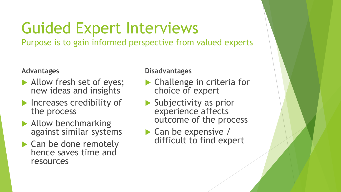# Guided Expert Interviews

Purpose is to gain informed perspective from valued experts

#### **Advantages**

- Allow fresh set of eyes; new ideas and insights
- **Increases credibility of** the process
- Allow benchmarking against similar systems
- ▶ Can be done remotely hence saves time and resources

- ▶ Challenge in criteria for choice of expert
- Subjectivity as prior experience affects outcome of the process
- $\triangleright$  Can be expensive / difficult to find expert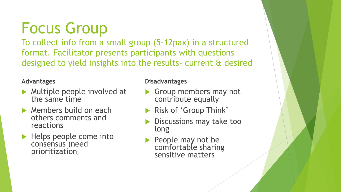Focus Group

To collect info from a small group (5-12pax) in a structured format. Facilitator presents participants with questions designed to yield insights into the results- current & desired

#### **Advantages**

- **Multiple people involved at** the same time
- **Members build on each** others comments and reactions
- $\blacktriangleright$  Helps people come into consensus (need prioritization)

- Group members may not contribute equally
- Risk of 'Group Think'
- Discussions may take too long
- People may not be comfortable sharing sensitive matters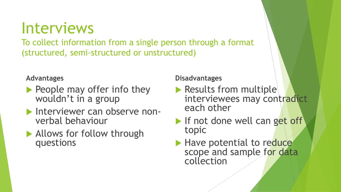Interviews

To collect information from a single person through a format (structured, semi-structured or unstructured)

#### **Advantages**

- People may offer info they wouldn't in a group
- **Interviewer can observe non**verbal behaviour
- Allows for follow through questions

- Results from multiple interviewees may contradict each other
- If not done well can get off topic
- Have potential to reduce scope and sample for data collection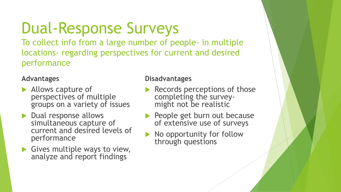# Dual-Response Surveys

To collect info from a large number of people- in multiple locations- regarding perspectives for current and desired performance

#### **Advantages**

- Allows capture of perspectives of multiple groups on a variety of issues
- Dual response allows simultaneous capture of current and desired levels of performance
- Gives multiple ways to view, analyze and report findings

- Records perceptions of those completing the surveymight not be realistic
- People get burn out because of extensive use of surveys
- No opportunity for follow through questions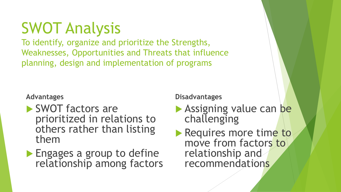# SWOT Analysis

To identify, organize and prioritize the Strengths, Weaknesses, Opportunities and Threats that influence planning, design and implementation of programs

#### **Advantages**

- ▶ SWOT factors are prioritized in relations to others rather than listing them
- **Engages a group to define** relationship among factors

- **Assigning value can be** challenging
- Requires more time to move from factors to relationship and recommendations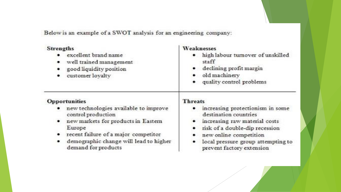Below is an example of a SWOT analysis for an engineering company:

| <b>Strengths</b><br>excellent brand name<br>well trained management<br>good liquidity position<br>customer loyalty                                                                                                                            | Weaknesses<br>high labour turnover of unskilled<br>staff<br>declining profit margin<br>old machinery<br>quality control problems                                                                                                                      |
|-----------------------------------------------------------------------------------------------------------------------------------------------------------------------------------------------------------------------------------------------|-------------------------------------------------------------------------------------------------------------------------------------------------------------------------------------------------------------------------------------------------------|
| <b>Opportunities</b><br>new technologies available to improve<br>control production<br>new markets for products in Eastern<br>Europe<br>recent failure of a major competitor<br>demographic change will lead to higher<br>demand for products | <b>Threats</b><br>increasing protectionism in some<br>destination countries<br>increasing raw material costs<br>risk of a double-dip recession<br>٠<br>new online competition<br>local pressure group attempting to<br>٠<br>prevent factory extension |